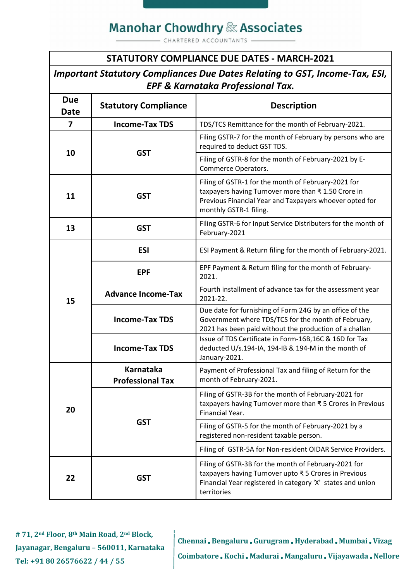## **Manohar Chowdhry & Associates**

CHARTERED ACCOUNTANTS

| <b>STATUTORY COMPLIANCE DUE DATES - MARCH-2021</b>                                                                          |                                             |                                                                                                                                                                                                |
|-----------------------------------------------------------------------------------------------------------------------------|---------------------------------------------|------------------------------------------------------------------------------------------------------------------------------------------------------------------------------------------------|
| Important Statutory Compliances Due Dates Relating to GST, Income-Tax, ESI,<br><b>EPF &amp; Karnataka Professional Tax.</b> |                                             |                                                                                                                                                                                                |
| <b>Due</b><br><b>Date</b>                                                                                                   | <b>Statutory Compliance</b>                 | <b>Description</b>                                                                                                                                                                             |
| 7                                                                                                                           | <b>Income-Tax TDS</b>                       | TDS/TCS Remittance for the month of February-2021.                                                                                                                                             |
| 10                                                                                                                          | <b>GST</b>                                  | Filing GSTR-7 for the month of February by persons who are<br>required to deduct GST TDS.                                                                                                      |
|                                                                                                                             |                                             | Filing of GSTR-8 for the month of February-2021 by E-<br>Commerce Operators.                                                                                                                   |
| 11                                                                                                                          | <b>GST</b>                                  | Filing of GSTR-1 for the month of February-2021 for<br>taxpayers having Turnover more than ₹1.50 Crore in<br>Previous Financial Year and Taxpayers whoever opted for<br>monthly GSTR-1 filing. |
| 13                                                                                                                          | <b>GST</b>                                  | Filing GSTR-6 for Input Service Distributers for the month of<br>February-2021                                                                                                                 |
| 15                                                                                                                          | <b>ESI</b>                                  | ESI Payment & Return filing for the month of February-2021.                                                                                                                                    |
|                                                                                                                             | <b>EPF</b>                                  | EPF Payment & Return filing for the month of February-<br>2021.                                                                                                                                |
|                                                                                                                             | <b>Advance Income-Tax</b>                   | Fourth installment of advance tax for the assessment year<br>2021-22.                                                                                                                          |
|                                                                                                                             | <b>Income-Tax TDS</b>                       | Due date for furnishing of Form 24G by an office of the<br>Government where TDS/TCS for the month of February,<br>2021 has been paid without the production of a challan                       |
|                                                                                                                             | <b>Income-Tax TDS</b>                       | Issue of TDS Certificate in Form-16B, 16C & 16D for Tax<br>deducted U/s.194-IA, 194-IB & 194-M in the month of<br>January-2021.                                                                |
| 20                                                                                                                          | <b>Karnataka</b><br><b>Professional Tax</b> | Payment of Professional Tax and filing of Return for the<br>month of February-2021.                                                                                                            |
|                                                                                                                             | <b>GST</b>                                  | Filing of GSTR-3B for the month of February-2021 for<br>taxpayers having Turnover more than ₹5 Crores in Previous<br><b>Financial Year.</b>                                                    |
|                                                                                                                             |                                             | Filing of GSTR-5 for the month of February-2021 by a<br>registered non-resident taxable person.                                                                                                |
|                                                                                                                             |                                             | Filing of GSTR-5A for Non-resident OIDAR Service Providers.                                                                                                                                    |
| 22                                                                                                                          | <b>GST</b>                                  | Filing of GSTR-3B for the month of February-2021 for<br>taxpayers having Turnover upto ₹5 Crores in Previous<br>Financial Year registered in category 'X' states and union<br>territories      |

# 71, 2nd Floor, 8th Main Road, 2nd Block, Jayanagar, Bengaluru – 560011, Karnataka Tel: +91 80 26576622 / 44 / 55

Chennai , Bengaluru , Gurugram , Hyderabad , Mumbai , Vizag Coimbatore , Kochi , Madurai , Mangaluru , Vijayawada , Nellore